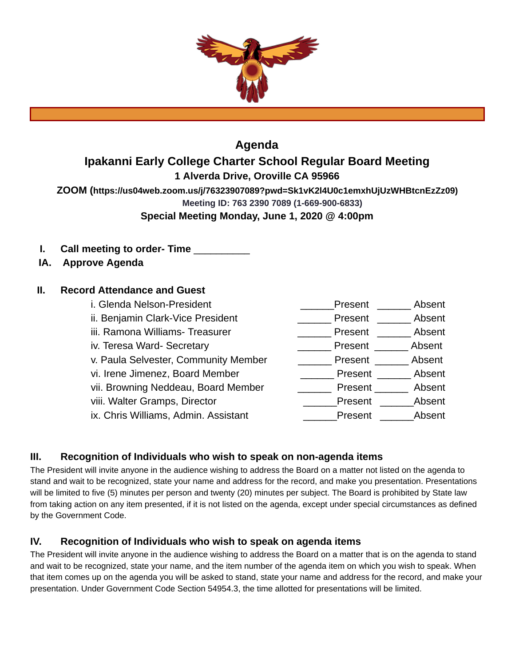

# **Agenda**

# **Ipakanni Early College Charter School Regular Board Meeting**

**1 Alverda Drive, Oroville CA 95966** 

**ZOOM ( https://us04web.zoom.us/j/76323907089?pwd=Sk1vK2l4U0c1emxhUjUzWHBtcnEzZz09)** 

**Meeting ID: 763 2390 7089 (1-669-900-6833)** 

**Special Meeting Monday, June 1, 2020 @ 4:00pm** 

- **I.** Call meeting to order-Time
- **IA. Approve Agenda**

# **II. Record Attendance and Guest**

| i. Glenda Nelson-President           | Absent<br>Present |
|--------------------------------------|-------------------|
| ii. Benjamin Clark-Vice President    | Absent<br>Present |
| iii. Ramona Williams- Treasurer      | Absent<br>Present |
| iv. Teresa Ward- Secretary           | Absent<br>Present |
| v. Paula Selvester, Community Member | Absent<br>Present |
| vi. Irene Jimenez, Board Member      | Absent<br>Present |
| vii. Browning Neddeau, Board Member  | Absent<br>Present |
| viii. Walter Gramps, Director        | Absent<br>Present |
| ix. Chris Williams, Admin. Assistant | Absent<br>Present |
|                                      |                   |

# **III. Recognition of Individuals who wish to speak on non-agenda items**

The President will invite anyone in the audience wishing to address the Board on a matter not listed on the agenda to stand and wait to be recognized, state your name and address for the record, and make you presentation. Presentations will be limited to five (5) minutes per person and twenty (20) minutes per subject. The Board is prohibited by State law from taking action on any item presented, if it is not listed on the agenda, except under special circumstances as defined by the Government Code.

# **IV. Recognition of Individuals who wish to speak on agenda items**

The President will invite anyone in the audience wishing to address the Board on a matter that is on the agenda to stand and wait to be recognized, state your name, and the item number of the agenda item on which you wish to speak. When that item comes up on the agenda you will be asked to stand, state your name and address for the record, and make your presentation. Under Government Code Section 54954.3, the time allotted for presentations will be limited.